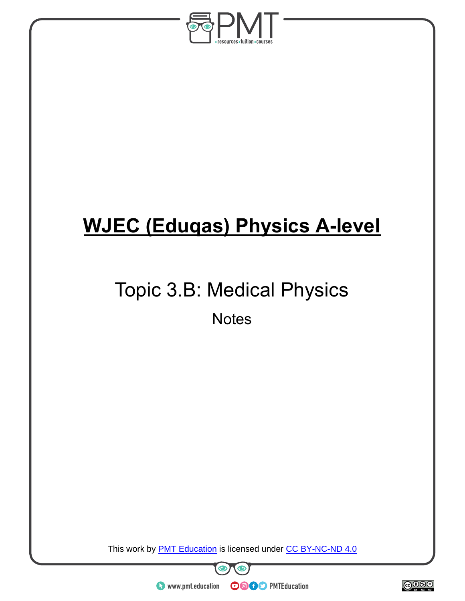

# **WJEC (Eduqas) Physics A-level**

# Topic 3.B: Medical Physics

**Notes** 

This work by **PMT Education** is licensed under CC BY-NC-ND 4.0



 $\bullet$  www.pmt.education

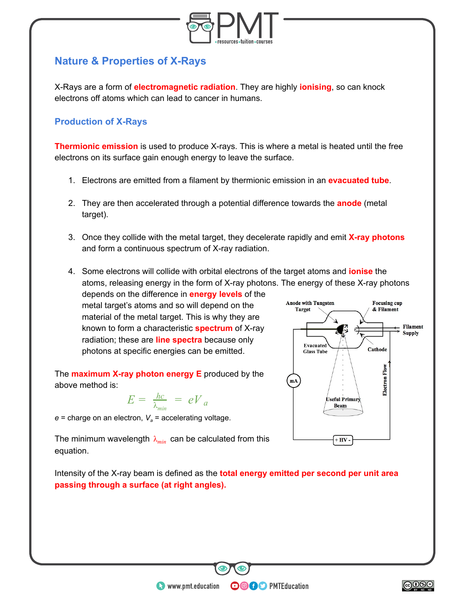

# **Nature & Properties of X-Rays**

X-Rays are a form of **electromagnetic radiation** . They are highly **ionising** , so can knock electrons off atoms which can lead to cancer in humans.

#### **Production of X-Rays**

**Thermionic emission** is used to produce X-rays. This is where a metal is heated until the free electrons on its surface gain enough energy to leave the surface.

- 1. Electrons are emitted from a filament by thermionic emission in an **evacuated tube** .
- 2. They are then accelerated through a potential difference towards the **anode** (metal target).
- 3. Once they collide with the metal target, they decelerate rapidly and emit **X-ray photons**  and form a continuous spectrum of X-ray radiation.
- 4. Some electrons will collide with orbital electrons of the target atoms and **ionise** the atoms, releasing energy in the form of X-ray photons. The energy of these X-ray photons

depends on the difference in **energy levels** of the metal target's atoms and so will depend on the material of the metal target. This is why they are known to form a characteristic **spectrum** of X-ray radiation; these are **line spectra** because only photons at specific energies can be emitted.

The **maximum X-ray photon energy E** produced by the above method is:

$$
E = \frac{hc}{\lambda_{min}} = eV_a
$$

 $e =$  charge on an electron,  $V_a =$  accelerating voltage.

The minimum wavelength  $\lambda_{min}$  can be calculated from this equation.



Intensity of the X-ray beam is defined as the **total energy emitted per second per unit area passing through a surface (at right angles).** 

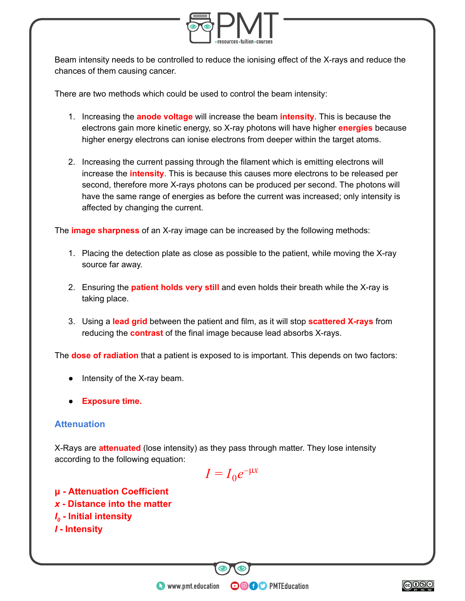

Beam intensity needs to be controlled to reduce the ionising effect of the X-rays and reduce the chances of them causing cancer.

There are two methods which could be used to control the beam intensity:

- 1. Increasing the **anode voltage** will increase the beam **intensity** . This is because the electrons gain more kinetic energy, so X-ray photons will have higher **energies** because higher energy electrons can ionise electrons from deeper within the target atoms.
- 2. Increasing the current passing through the filament which is emitting electrons will increase the **intensity** . This is because this causes more electrons to be released per second, therefore more X-rays photons can be produced per second. The photons will have the same range of energies as before the current was increased; only intensity is affected by changing the current.

The **image sharpness** of an X-ray image can be increased by the following methods:

- 1. Placing the detection plate as close as possible to the patient, while moving the X-ray source far away.
- 2. Ensuring the **patient holds very still** and even holds their breath while the X-ray is taking place.
- 3. Using a **lead grid** between the patient and film, as it will stop **scattered X-rays** from reducing the **contrast** of the final image because lead absorbs X-rays.

The **dose of radiation** that a patient is exposed to is important. This depends on two factors:

- Intensity of the X-ray beam.
- **Exposure time.**

#### **Attenuation**

X-Rays are **attenuated** (lose intensity) as they pass through matter. They lose intensity according to the following equation:



**OOOO** PMTEducation

**μ - Attenuation Coefficient**  *x* **- Distance into the matter**  *I*<sub>0</sub> - Initial intensity *I* **- Intensity** 

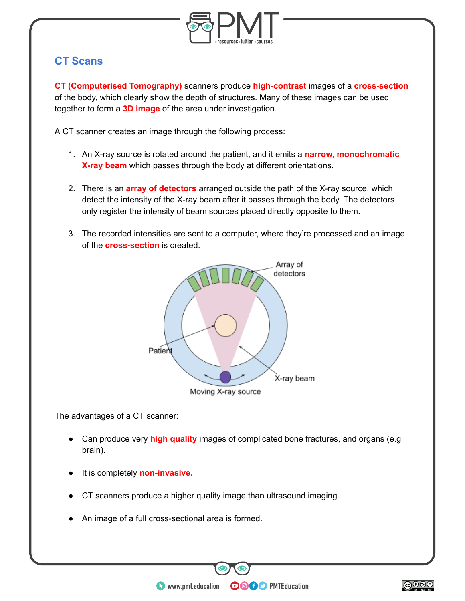

## **CT Scans**

**CT (Computerised Tomography)** scanners produce **high-contrast** images of a **cross-section**  of the body, which clearly show the depth of structures. Many of these images can be used together to form a **3D image** of the area under investigation.

A CT scanner creates an image through the following process:

- 1. An X-ray source is rotated around the patient, and it emits a **narrow, monochromatic X-ray beam** which passes through the body at different orientations.
- 2. There is an **array of detectors** arranged outside the path of the X-ray source, which detect the intensity of the X-ray beam after it passes through the body. The detectors only register the intensity of beam sources placed directly opposite to them.
- 3. The recorded intensities are sent to a computer, where they're processed and an image of the **cross-section** is created.



The advantages of a CT scanner:

● Can produce very **high quality** images of complicated bone fractures, and organs (e.g brain).

- It is completely **non-invasive.**
- CT scanners produce a higher quality image than ultrasound imaging.
- An image of a full cross-sectional area is formed.

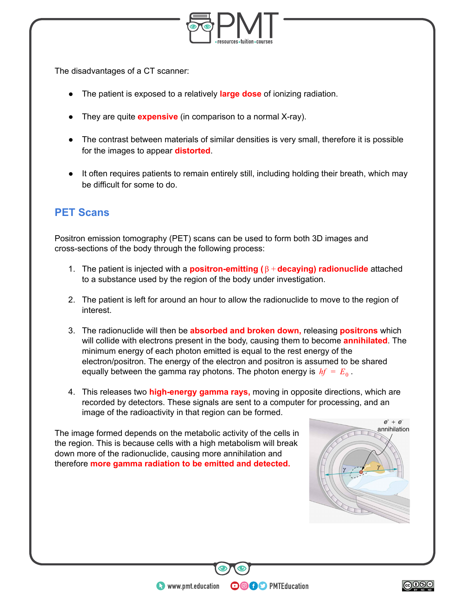

The disadvantages of a CT scanner:

- The patient is exposed to a relatively **large dose** of ionizing radiation.
- They are quite **expensive** (in comparison to a normal X-ray).
- The contrast between materials of similar densities is very small, therefore it is possible for the images to appear **distorted** .
- It often requires patients to remain entirely still, including holding their breath, which may be difficult for some to do.

# **PET Scans**

Positron emission tomography (PET) scans can be used to form both 3D images and cross-sections of the body through the following process:

- 1. The patient is injected with a **positron-emitting (** $\beta$  + **decaying) radionuclide** attached to a substance used by the region of the body under investigation.
- 2. The patient is left for around an hour to allow the radionuclide to move to the region of interest.
- 3. The radionuclide will then be **absorbed and broken down,** releasing **positrons** which will collide with electrons present in the body, causing them to become **annihilated** . The minimum energy of each photon emitted is equal to the rest energy of the electron/positron. The energy of the electron and positron is assumed to be shared equally between the gamma ray photons. The photon energy is  $hf = E_0$ .
- 4. This releases two **high-energy gamma rays,** moving in opposite directions, which are recorded by detectors. These signals are sent to a computer for processing, and an image of the radioactivity in that region can be formed.

**OOOO** PMTEducation

The image formed depends on the metabolic activity of the cells in the region. This is because cells with a high metabolism will break down more of the radionuclide, causing more annihilation and therefore **more gamma radiation to be emitted and detected.** 



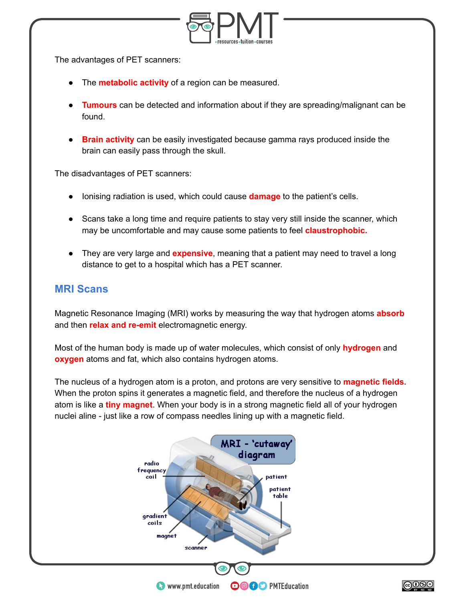

The advantages of PET scanners:

- The **metabolic activity** of a region can be measured.
- **Tumours** can be detected and information about if they are spreading/malignant can be found.
- **Brain activity** can be easily investigated because gamma rays produced inside the brain can easily pass through the skull.

The disadvantages of PET scanners:

- Ionising radiation is used, which could cause **damage** to the patient's cells.
- Scans take a long time and require patients to stay very still inside the scanner, which may be uncomfortable and may cause some patients to feel **claustrophobic.**
- They are very large and **expensive**, meaning that a patient may need to travel a long distance to get to a hospital which has a PET scanner.

### **MRI Scans**

Magnetic Resonance Imaging (MRI) works by measuring the way that hydrogen atoms **absorb**  and then **relax and re-emit** electromagnetic energy.

Most of the human body is made up of water molecules, which consist of only **hydrogen** and **oxygen** atoms and fat, which also contains hydrogen atoms.

The nucleus of a hydrogen atom is a proton, and protons are very sensitive to **magnetic fields.**  When the proton spins it generates a magnetic field, and therefore the nucleus of a hydrogen atom is like a **tiny magnet**. When your body is in a strong magnetic field all of your hydrogen nuclei aline - just like a row of compass needles lining up with a magnetic field.

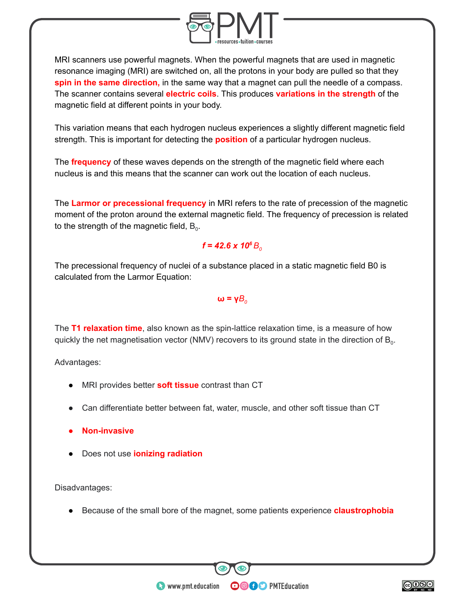

MRI scanners use powerful magnets. When the powerful magnets that are used in magnetic resonance imaging (MRI) are switched on, all the protons in your body are pulled so that they **spin in the same direction,** in the same way that a magnet can pull the needle of a compass. The scanner contains several **electric coils** . This produces **variations in the strength** of the magnetic field at different points in your body.

This variation means that each hydrogen nucleus experiences a slightly different magnetic field strength. This is important for detecting the **position** of a particular hydrogen nucleus.

The **frequency** of these waves depends on the strength of the magnetic field where each nucleus is and this means that the scanner can work out the location of each nucleus.

The **Larmor or precessional frequency** in [MRI](https://radiopaedia.org/articles/mri-2?lang=gb) refers to the rate of precession of the magnetic moment of the proton around the external magnetic field. The frequency of precession is related to the strength of the magnetic field,  $B_0$ .

#### $f = 42.6 \times 10^6 B_0$

The precessional frequency of nuclei of a substance placed in a static magnetic field B0 is calculated from the Larmor Equation:

#### $ω = γB<sub>o</sub>$

The **T1 relaxation time**, also known as the spin-lattice relaxation time, is a measure of how quickly the net magnetisation vector (NMV) recovers to its ground state in the direction of  $B_0$ .

Advantages:

- MRI provides better **soft tissue** contrast than CT
- Can differentiate better between fat, water, muscle, and other soft tissue than CT
- **Non-invasive**
- Does not use **ionizing radiation**

Disadvantages:

● Because of the small bore of the magnet, some patients experience **claustrophobia** 

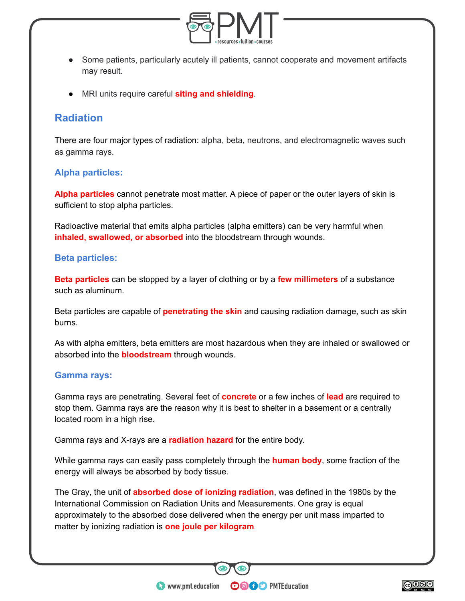

- Some patients, particularly acutely ill patients, cannot cooperate and movement artifacts may result.
- **MRI units require careful siting and shielding.**

## **Radiation**

There are four major types of radiation: alpha, beta, neutrons, and electromagnetic waves such as gamma rays.

#### **Alpha particles:**

**Alpha particles** cannot penetrate most matter. A piece of paper or the outer layers of skin is sufficient to stop alpha particles.

Radioactive material that emits alpha particles (alpha emitters) can be very harmful when **inhaled, swallowed, or absorbed** into the bloodstream through wounds.

#### **Beta particles:**

**Beta particles** can be stopped by a layer of clothing or by a **few millimeters** of a substance such as aluminum.

Beta particles are capable of **penetrating the skin** and causing radiation damage, such as skin burns.

As with alpha emitters, beta emitters are most hazardous when they are inhaled or swallowed or absorbed into the **bloodstream** through wounds.

#### **Gamma rays:**

Gamma rays are penetrating. Several feet of **concrete** or a few inches of **lead** are required to stop them. Gamma rays are the reason why it is best to shelter in a basement or a centrally located room in a high rise.

Gamma rays and X-rays are a **radiation hazard** for the entire body.

While gamma rays can easily pass completely through the **human body** , some fraction of the energy will always be absorbed by body tissue.

The Gray, the unit of **absorbed dose of ionizing radiation**, was defined in the 1980s by the International Commission on Radiation Units and Measurements. One gray is equal approximately to the absorbed dose delivered when the [energy](https://www.britannica.com/science/energy) per unit mass imparted to matter by [ionizing radiation](https://www.britannica.com/science/ionizing-radiation) is **one [joule](https://www.britannica.com/science/joule) per [kilogram](https://www.britannica.com/science/kilogram)** .

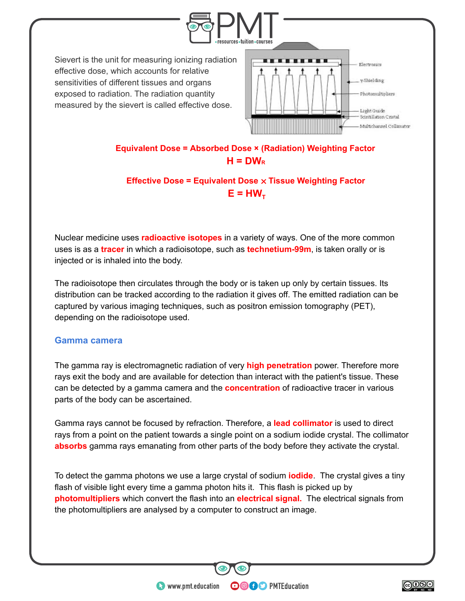

**Equivalent Dose = Absorbed Dose × (Radiation) Weighting Factor**   $H = DW<sub>R</sub>$ 

**Effective Dose = Equivalent Dose** × **Tissue Weighting Factor**   $E = HW<sub>T</sub>$ 

[Nuclear medicine](https://www.britannica.com/science/nuclear-medicine) uses **radioactive isotopes** in a variety of ways. One of the more common uses is as a **tracer** in which a radioisotope, such as **technetium-99m** , is taken orally or is injected or is inhaled into the body.

The radioisotope then circulates through the body or is taken up only by certain tissues. Its distribution can be tracked according to the radiation it gives off. The emitted radiation can be captured by various imaging techniques, such as [positron emission tomography](https://www.britannica.com/topic/positron-emission-tomography) (PET), depending on the radioisotope used.

#### **Gamma camera**

The gamma ray is electromagnetic radiation of very **high penetration** power. Therefore more rays exit the body and are available for detection than interact with the patient's tissue. These can be detected by a gamma camera and the **concentration** of radioactive tracer in various parts of the body can be ascertained.

Gamma rays cannot be focused by refraction. Therefore, a **lead collimator** is used to direct rays from a point on the patient towards a single point on a sodium iodide crystal. The collimator **absorbs** gamma rays emanating from other parts of the body before they activate the crystal.

To detect the gamma photons we use a large crystal of sodium **iodide** . The crystal gives a tiny flash of visible light every time a gamma photon hits it. This flash is picked up by **photomultipliers** which convert the flash into an **electrical signal.** The electrical signals from the photomultipliers are analysed by a computer to construct an image.

**OOOO** PMTEducation

 $\bullet$  www.pmt.education

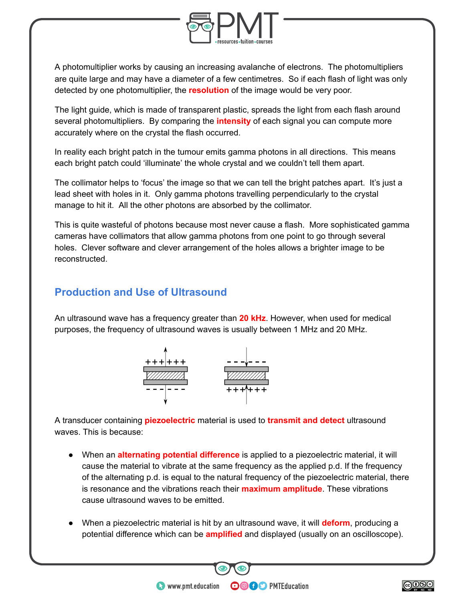

A photomultiplier works by causing an increasing avalanche of electrons. The photomultipliers are quite large and may have a diameter of a few centimetres. So if each flash of light was only detected by one photomultiplier, the **resolution** of the image would be very poor.

The light guide, which is made of transparent plastic, spreads the light from each flash around several photomultipliers. By comparing the **intensity** of each signal you can compute more accurately where on the crystal the flash occurred.

In reality each bright patch in the tumour emits gamma photons in all directions. This means each bright patch could 'illuminate' the whole crystal and we couldn't tell them apart.

The collimator helps to 'focus' the image so that we can tell the bright patches apart. It's just a lead sheet with holes in it. Only gamma photons travelling perpendicularly to the crystal manage to hit it. All the other photons are absorbed by the collimator.

This is quite wasteful of photons because most never cause a flash. More sophisticated gamma cameras have collimators that allow gamma photons from one point to go through several holes. Clever software and clever arrangement of the holes allows a brighter image to be reconstructed.

# **Production and Use of Ultrasound**

An ultrasound wave has a frequency greater than **20 kHz** . However, when used for medical purposes, the frequency of ultrasound waves is usually between 1 MHz and 20 MHz.



A transducer containing **piezoelectric** material is used to **transmit and detect** ultrasound waves. This is because:

- When an **alternating potential difference** is applied to a piezoelectric material, it will cause the material to vibrate at the same frequency as the applied p.d. If the frequency of the alternating p.d. is equal to the natural frequency of the piezoelectric material, there is resonance and the vibrations reach their **maximum amplitude** . These vibrations cause ultrasound waves to be emitted.
- When a piezoelectric material is hit by an ultrasound wave, it will **deform** , producing a potential difference which can be **amplified** and displayed (usually on an oscilloscope).

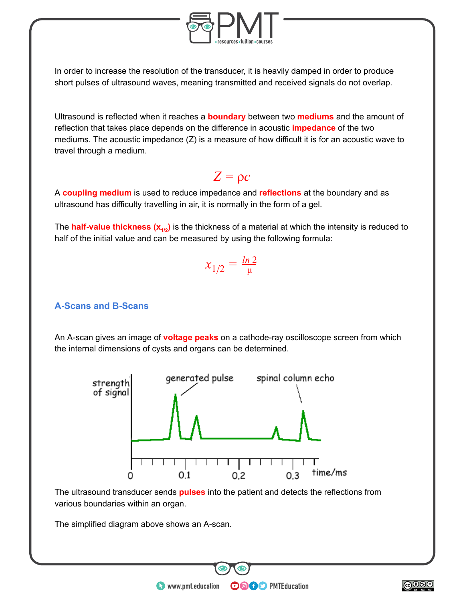

In order to increase the resolution of the transducer, it is heavily damped in order to produce short pulses of ultrasound waves, meaning transmitted and received signals do not overlap.

Ultrasound is reflected when it reaches a **boundary** between two **mediums** and the amount of reflection that takes place depends on the difference in acoustic **impedance** of the two mediums. The acoustic impedance (Z) is a measure of how difficult it is for an acoustic wave to travel through a medium.

# $Z = \rho c$

A **coupling medium** is used to reduce impedance and **reflections** at the boundary and as ultrasound has difficulty travelling in air, it is normally in the form of a gel.

The **half-value thickness (x**<sub>1/2</sub>) is the thickness of a material at which the intensity is reduced to half of the initial value and can be measured by using the following formula:

$$
x_{1/2} = \frac{\ln 2}{\mu}
$$

#### **A-Scans and B-Scans**

An A-scan gives an image of **voltage peaks** on a cathode-ray oscilloscope screen from which the internal dimensions of cysts and organs can be determined.



The ultrasound transducer sends **pulses** into the patient and detects the reflections from various boundaries within an organ.

**OOOO** PMTEducation

The simplified diagram above shows an A-scan.

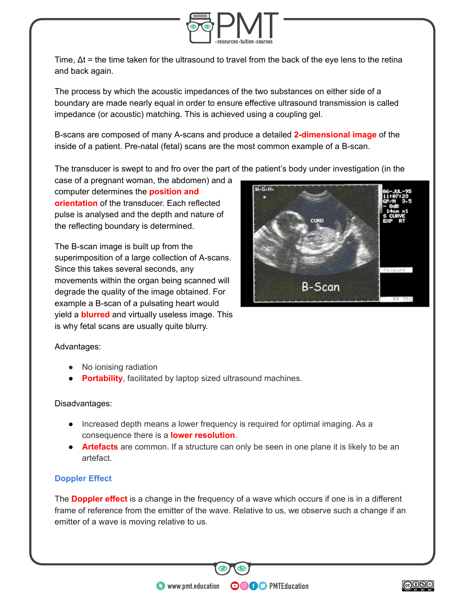

Time,  $\Delta t$  = the time taken for the ultrasound to travel from the back of the eye lens to the retina and back again.

The process by which the acoustic impedances of the two substances on either side of a boundary are made nearly equal in order to ensure effective ultrasound transmission is called impedance (or acoustic) matching. This is achieved using a coupling gel.

B-scans are composed of many A-scans and produce a detailed **2-dimensional image** of the inside of a patient. Pre-natal (fetal) scans are the most common example of a B-scan.

The transducer is swept to and fro over the part of the patient's body under investigation (in the

case of a pregnant woman, the abdomen) and a computer determines the **position and orientation** of the transducer. Each reflected pulse is analysed and the depth and nature of the reflecting boundary is determined.

The B-scan image is built up from the superimposition of a large collection of A-scans. Since this takes several seconds, any movements within the organ being scanned will degrade the quality of the image obtained. For example a B-scan of a pulsating heart would yield a **blurred** and virtually useless image. This is why fetal scans are usually quite blurry.



#### Advantages:

- No ionising radiation
- **Portability**, facilitated by laptop sized ultrasound machines.

#### Disadvantages:

- Increased depth means a lower frequency is required for optimal imaging. As a consequence there is a **lower resolution** .
- **Artefacts** are common. If a structure can only be seen in one plane it is likely to be an artefact.

#### **Doppler Effect**

The **Doppler effect** is a change in the frequency of a wave which occurs if one is in a different frame of reference from the emitter of the wave. Relative to us, we observe such a change if an emitter of a wave is moving relative to us.